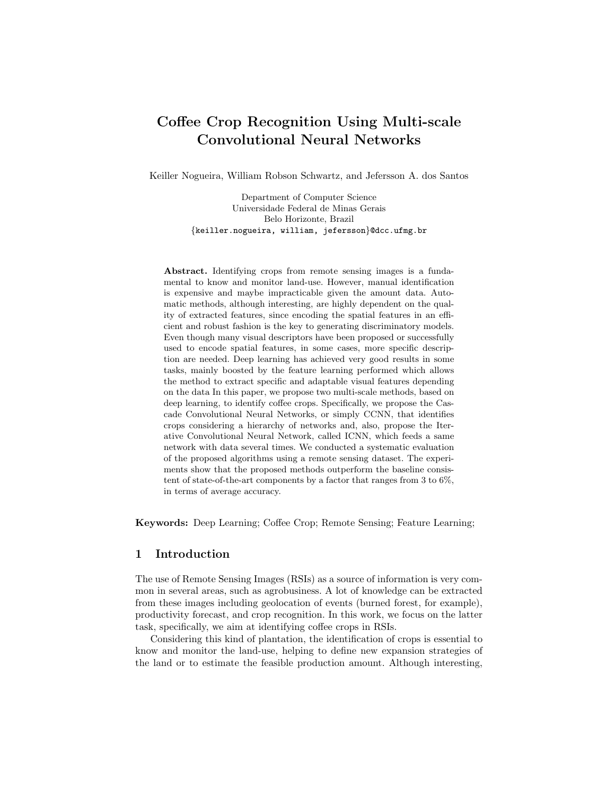# Coffee Crop Recognition Using Multi-scale Convolutional Neural Networks

Keiller Nogueira, William Robson Schwartz, and Jefersson A. dos Santos

Department of Computer Science Universidade Federal de Minas Gerais Belo Horizonte, Brazil {keiller.nogueira, william, jefersson}@dcc.ufmg.br

Abstract. Identifying crops from remote sensing images is a fundamental to know and monitor land-use. However, manual identification is expensive and maybe impracticable given the amount data. Automatic methods, although interesting, are highly dependent on the quality of extracted features, since encoding the spatial features in an efficient and robust fashion is the key to generating discriminatory models. Even though many visual descriptors have been proposed or successfully used to encode spatial features, in some cases, more specific description are needed. Deep learning has achieved very good results in some tasks, mainly boosted by the feature learning performed which allows the method to extract specific and adaptable visual features depending on the data In this paper, we propose two multi-scale methods, based on deep learning, to identify coffee crops. Specifically, we propose the Cascade Convolutional Neural Networks, or simply CCNN, that identifies crops considering a hierarchy of networks and, also, propose the Iterative Convolutional Neural Network, called ICNN, which feeds a same network with data several times. We conducted a systematic evaluation of the proposed algorithms using a remote sensing dataset. The experiments show that the proposed methods outperform the baseline consistent of state-of-the-art components by a factor that ranges from 3 to 6%, in terms of average accuracy.

Keywords: Deep Learning; Coffee Crop; Remote Sensing; Feature Learning;

### 1 Introduction

The use of Remote Sensing Images (RSIs) as a source of information is very common in several areas, such as agrobusiness. A lot of knowledge can be extracted from these images including geolocation of events (burned forest, for example), productivity forecast, and crop recognition. In this work, we focus on the latter task, specifically, we aim at identifying coffee crops in RSIs.

Considering this kind of plantation, the identification of crops is essential to know and monitor the land-use, helping to define new expansion strategies of the land or to estimate the feasible production amount. Although interesting,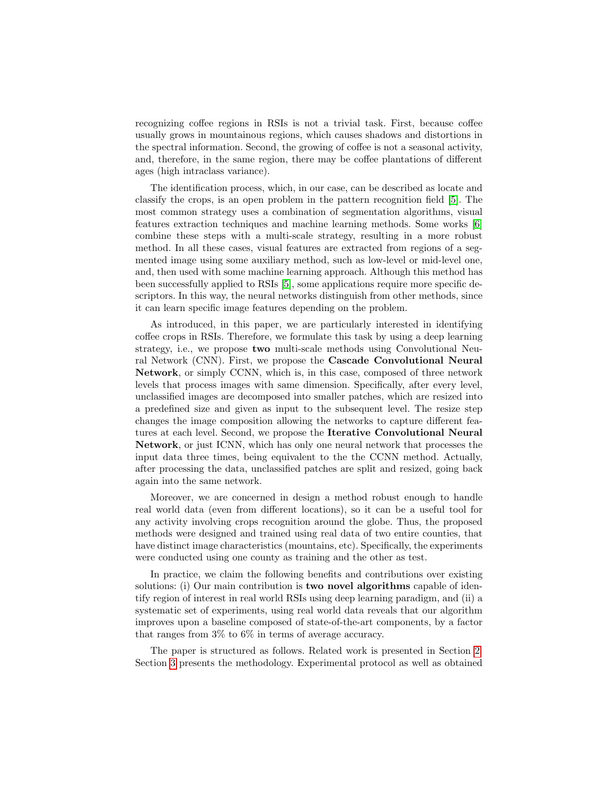recognizing coffee regions in RSIs is not a trivial task. First, because coffee usually grows in mountainous regions, which causes shadows and distortions in the spectral information. Second, the growing of coffee is not a seasonal activity, and, therefore, in the same region, there may be coffee plantations of different ages (high intraclass variance).

The identification process, which, in our case, can be described as locate and classify the crops, is an open problem in the pattern recognition field [\[5\]](#page-7-0). The most common strategy uses a combination of segmentation algorithms, visual features extraction techniques and machine learning methods. Some works [\[6\]](#page-7-1) combine these steps with a multi-scale strategy, resulting in a more robust method. In all these cases, visual features are extracted from regions of a segmented image using some auxiliary method, such as low-level or mid-level one, and, then used with some machine learning approach. Although this method has been successfully applied to RSIs [\[5\]](#page-7-0), some applications require more specific descriptors. In this way, the neural networks distinguish from other methods, since it can learn specific image features depending on the problem.

As introduced, in this paper, we are particularly interested in identifying coffee crops in RSIs. Therefore, we formulate this task by using a deep learning strategy, i.e., we propose two multi-scale methods using Convolutional Neural Network (CNN). First, we propose the Cascade Convolutional Neural Network, or simply CCNN, which is, in this case, composed of three network levels that process images with same dimension. Specifically, after every level, unclassified images are decomposed into smaller patches, which are resized into a predefined size and given as input to the subsequent level. The resize step changes the image composition allowing the networks to capture different features at each level. Second, we propose the Iterative Convolutional Neural Network, or just ICNN, which has only one neural network that processes the input data three times, being equivalent to the the CCNN method. Actually, after processing the data, unclassified patches are split and resized, going back again into the same network.

Moreover, we are concerned in design a method robust enough to handle real world data (even from different locations), so it can be a useful tool for any activity involving crops recognition around the globe. Thus, the proposed methods were designed and trained using real data of two entire counties, that have distinct image characteristics (mountains, etc). Specifically, the experiments were conducted using one county as training and the other as test.

In practice, we claim the following benefits and contributions over existing solutions: (i) Our main contribution is **two novel algorithms** capable of identify region of interest in real world RSIs using deep learning paradigm, and (ii) a systematic set of experiments, using real world data reveals that our algorithm improves upon a baseline composed of state-of-the-art components, by a factor that ranges from 3% to 6% in terms of average accuracy.

The paper is structured as follows. Related work is presented in Section [2.](#page-2-0) Section [3](#page-2-1) presents the methodology. Experimental protocol as well as obtained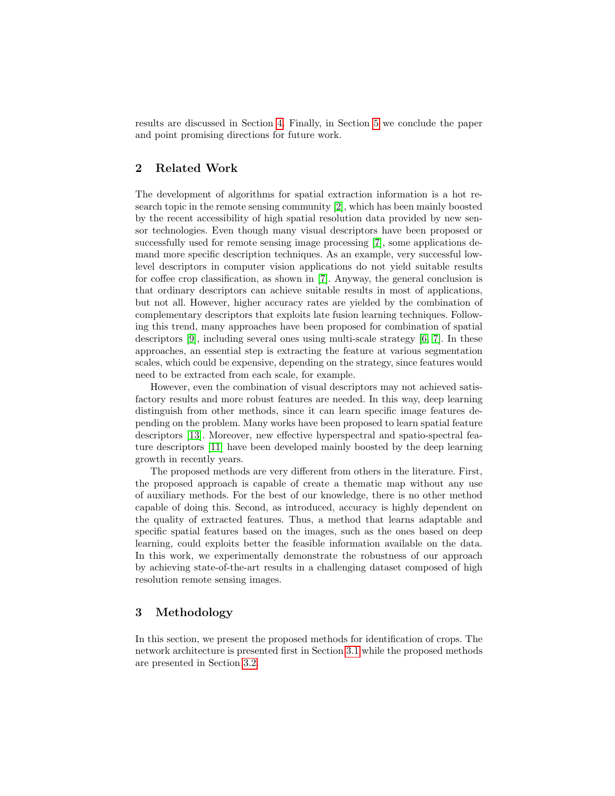results are discussed in Section [4.](#page-4-0) Finally, in Section [5](#page-6-0) we conclude the paper and point promising directions for future work.

# <span id="page-2-0"></span>2 Related Work

The development of algorithms for spatial extraction information is a hot research topic in the remote sensing community [\[2\]](#page-7-2), which has been mainly boosted by the recent accessibility of high spatial resolution data provided by new sensor technologies. Even though many visual descriptors have been proposed or successfully used for remote sensing image processing [\[7\]](#page-7-3), some applications demand more specific description techniques. As an example, very successful lowlevel descriptors in computer vision applications do not yield suitable results for coffee crop classification, as shown in [\[7\]](#page-7-3). Anyway, the general conclusion is that ordinary descriptors can achieve suitable results in most of applications, but not all. However, higher accuracy rates are yielded by the combination of complementary descriptors that exploits late fusion learning techniques. Following this trend, many approaches have been proposed for combination of spatial descriptors [\[9\]](#page-7-4), including several ones using multi-scale strategy [\[6,](#page-7-1) [7\]](#page-7-3). In these approaches, an essential step is extracting the feature at various segmentation scales, which could be expensive, depending on the strategy, since features would need to be extracted from each scale, for example.

However, even the combination of visual descriptors may not achieved satisfactory results and more robust features are needed. In this way, deep learning distinguish from other methods, since it can learn specific image features depending on the problem. Many works have been proposed to learn spatial feature descriptors [\[13\]](#page-7-5). Moreover, new effective hyperspectral and spatio-spectral feature descriptors [\[11\]](#page-7-6) have been developed mainly boosted by the deep learning growth in recently years.

The proposed methods are very different from others in the literature. First, the proposed approach is capable of create a thematic map without any use of auxiliary methods. For the best of our knowledge, there is no other method capable of doing this. Second, as introduced, accuracy is highly dependent on the quality of extracted features. Thus, a method that learns adaptable and specific spatial features based on the images, such as the ones based on deep learning, could exploits better the feasible information available on the data. In this work, we experimentally demonstrate the robustness of our approach by achieving state-of-the-art results in a challenging dataset composed of high resolution remote sensing images.

### <span id="page-2-1"></span>3 Methodology

In this section, we present the proposed methods for identification of crops. The network architecture is presented first in Section [3.1](#page-3-0) while the proposed methods are presented in Section [3.2.](#page-3-1)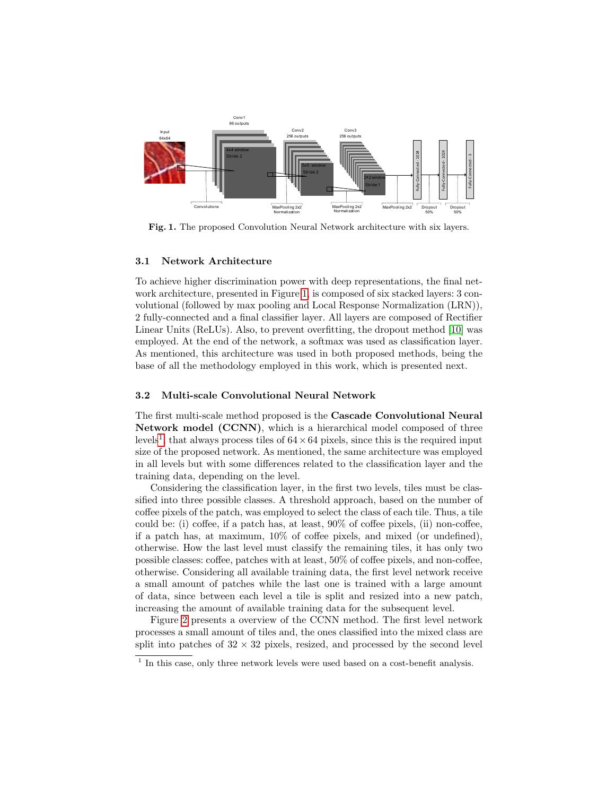

<span id="page-3-2"></span>Fig. 1. The proposed Convolution Neural Network architecture with six layers.

#### <span id="page-3-0"></span>3.1 Network Architecture

To achieve higher discrimination power with deep representations, the final network architecture, presented in Figure [1,](#page-3-2) is composed of six stacked layers: 3 convolutional (followed by max pooling and Local Response Normalization (LRN)), 2 fully-connected and a final classifier layer. All layers are composed of Rectifier Linear Units (ReLUs). Also, to prevent overfitting, the dropout method [\[10\]](#page-7-7) was employed. At the end of the network, a softmax was used as classification layer. As mentioned, this architecture was used in both proposed methods, being the base of all the methodology employed in this work, which is presented next.

#### <span id="page-3-1"></span>3.2 Multi-scale Convolutional Neural Network

The first multi-scale method proposed is the Cascade Convolutional Neural Network model (CCNN), which is a hierarchical model composed of three levels<sup>[1](#page-3-3)</sup>, that always process tiles of  $64 \times 64$  pixels, since this is the required input size of the proposed network. As mentioned, the same architecture was employed in all levels but with some differences related to the classification layer and the training data, depending on the level.

Considering the classification layer, in the first two levels, tiles must be classified into three possible classes. A threshold approach, based on the number of coffee pixels of the patch, was employed to select the class of each tile. Thus, a tile could be: (i) coffee, if a patch has, at least, 90% of coffee pixels, (ii) non-coffee, if a patch has, at maximum, 10% of coffee pixels, and mixed (or undefined), otherwise. How the last level must classify the remaining tiles, it has only two possible classes: coffee, patches with at least, 50% of coffee pixels, and non-coffee, otherwise. Considering all available training data, the first level network receive a small amount of patches while the last one is trained with a large amount of data, since between each level a tile is split and resized into a new patch, increasing the amount of available training data for the subsequent level.

Figure [2](#page-4-1) presents a overview of the CCNN method. The first level network processes a small amount of tiles and, the ones classified into the mixed class are split into patches of  $32 \times 32$  pixels, resized, and processed by the second level

<span id="page-3-3"></span><sup>&</sup>lt;sup>1</sup> In this case, only three network levels were used based on a cost-benefit analysis.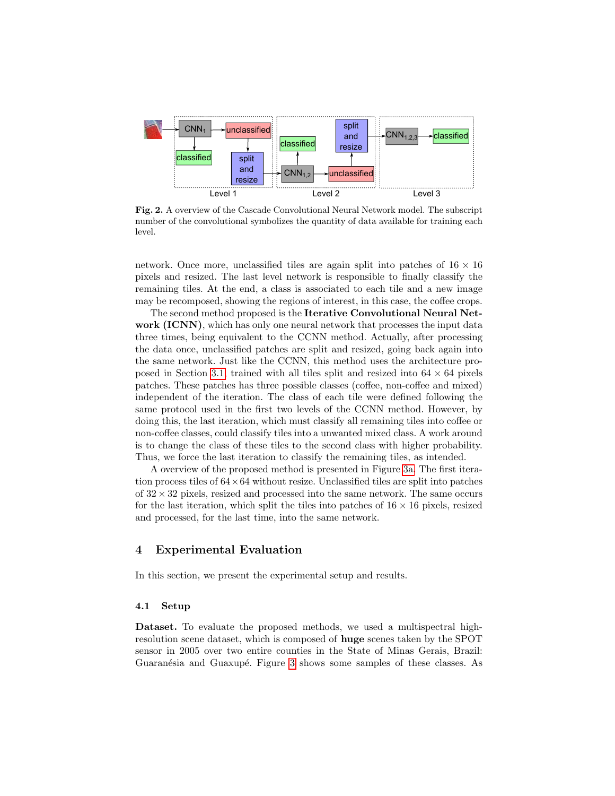

<span id="page-4-1"></span>Fig. 2. A overview of the Cascade Convolutional Neural Network model. The subscript number of the convolutional symbolizes the quantity of data available for training each level.

network. Once more, unclassified tiles are again split into patches of  $16 \times 16$ pixels and resized. The last level network is responsible to finally classify the remaining tiles. At the end, a class is associated to each tile and a new image may be recomposed, showing the regions of interest, in this case, the coffee crops.

The second method proposed is the Iterative Convolutional Neural Network (ICNN), which has only one neural network that processes the input data three times, being equivalent to the CCNN method. Actually, after processing the data once, unclassified patches are split and resized, going back again into the same network. Just like the CCNN, this method uses the architecture pro-posed in Section [3.1,](#page-3-0) trained with all tiles split and resized into  $64 \times 64$  pixels patches. These patches has three possible classes (coffee, non-coffee and mixed) independent of the iteration. The class of each tile were defined following the same protocol used in the first two levels of the CCNN method. However, by doing this, the last iteration, which must classify all remaining tiles into coffee or non-coffee classes, could classify tiles into a unwanted mixed class. A work around is to change the class of these tiles to the second class with higher probability. Thus, we force the last iteration to classify the remaining tiles, as intended.

A overview of the proposed method is presented in Figure [3a.](#page-5-0) The first iteration process tiles of  $64 \times 64$  without resize. Unclassified tiles are split into patches of  $32 \times 32$  pixels, resized and processed into the same network. The same occurs for the last iteration, which split the tiles into patches of  $16 \times 16$  pixels, resized and processed, for the last time, into the same network.

# <span id="page-4-0"></span>4 Experimental Evaluation

In this section, we present the experimental setup and results.

#### 4.1 Setup

Dataset. To evaluate the proposed methods, we used a multispectral highresolution scene dataset, which is composed of huge scenes taken by the SPOT sensor in 2005 over two entire counties in the State of Minas Gerais, Brazil: Guaranésia and Guaxupé. Figure [3](#page-5-1) shows some samples of these classes. As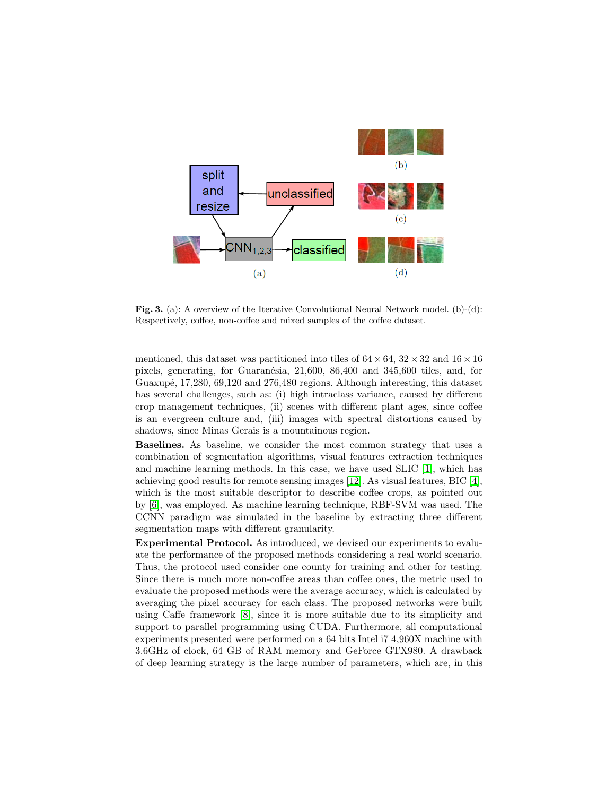<span id="page-5-0"></span>

<span id="page-5-1"></span>Fig. 3. (a): A overview of the Iterative Convolutional Neural Network model. (b)-(d): Respectively, coffee, non-coffee and mixed samples of the coffee dataset.

mentioned, this dataset was partitioned into tiles of  $64 \times 64$ ,  $32 \times 32$  and  $16 \times 16$ pixels, generating, for Guaranésia,  $21,600$ ,  $86,400$  and  $345,600$  tiles, and, for Guaxupé, 17,280, 69,120 and 276,480 regions. Although interesting, this dataset has several challenges, such as: (i) high intraclass variance, caused by different crop management techniques, (ii) scenes with different plant ages, since coffee is an evergreen culture and, (iii) images with spectral distortions caused by shadows, since Minas Gerais is a mountainous region.

Baselines. As baseline, we consider the most common strategy that uses a combination of segmentation algorithms, visual features extraction techniques and machine learning methods. In this case, we have used SLIC [\[1\]](#page-7-8), which has achieving good results for remote sensing images [\[12\]](#page-7-9). As visual features, BIC [\[4\]](#page-7-10), which is the most suitable descriptor to describe coffee crops, as pointed out by [\[6\]](#page-7-1), was employed. As machine learning technique, RBF-SVM was used. The CCNN paradigm was simulated in the baseline by extracting three different segmentation maps with different granularity.

Experimental Protocol. As introduced, we devised our experiments to evaluate the performance of the proposed methods considering a real world scenario. Thus, the protocol used consider one county for training and other for testing. Since there is much more non-coffee areas than coffee ones, the metric used to evaluate the proposed methods were the average accuracy, which is calculated by averaging the pixel accuracy for each class. The proposed networks were built using Caffe framework [\[8\]](#page-7-11), since it is more suitable due to its simplicity and support to parallel programming using CUDA. Furthermore, all computational experiments presented were performed on a 64 bits Intel i7 4,960X machine with 3.6GHz of clock, 64 GB of RAM memory and GeForce GTX980. A drawback of deep learning strategy is the large number of parameters, which are, in this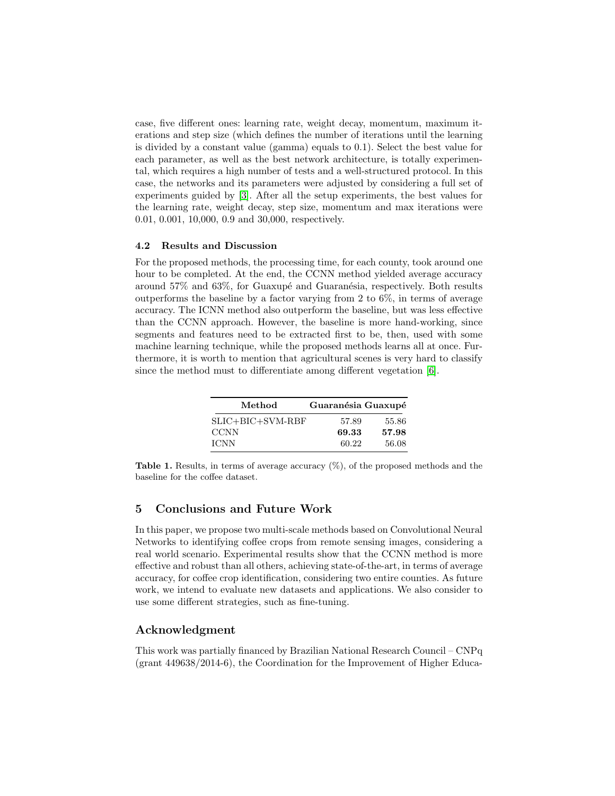case, five different ones: learning rate, weight decay, momentum, maximum iterations and step size (which defines the number of iterations until the learning is divided by a constant value (gamma) equals to 0.1). Select the best value for each parameter, as well as the best network architecture, is totally experimental, which requires a high number of tests and a well-structured protocol. In this case, the networks and its parameters were adjusted by considering a full set of experiments guided by [\[3\]](#page-7-12). After all the setup experiments, the best values for the learning rate, weight decay, step size, momentum and max iterations were 0.01, 0.001, 10,000, 0.9 and 30,000, respectively.

### 4.2 Results and Discussion

For the proposed methods, the processing time, for each county, took around one hour to be completed. At the end, the CCNN method yielded average accuracy around  $57\%$  and  $63\%$ , for Guaxupé and Guaranésia, respectively. Both results outperforms the baseline by a factor varying from 2 to 6%, in terms of average accuracy. The ICNN method also outperform the baseline, but was less effective than the CCNN approach. However, the baseline is more hand-working, since segments and features need to be extracted first to be, then, used with some machine learning technique, while the proposed methods learns all at once. Furthermore, it is worth to mention that agricultural scenes is very hard to classify since the method must to differentiate among different vegetation [\[6\]](#page-7-1).

| Method           | Guaranésia Guaxupé |       |
|------------------|--------------------|-------|
| SLIC+BIC+SVM-RBF | 57.89              | 55.86 |
| CCNN             | 69.33              | 57.98 |
| ICNN             | 60.22              | 56.08 |

Table 1. Results, in terms of average accuracy (%), of the proposed methods and the baseline for the coffee dataset.

# <span id="page-6-0"></span>5 Conclusions and Future Work

In this paper, we propose two multi-scale methods based on Convolutional Neural Networks to identifying coffee crops from remote sensing images, considering a real world scenario. Experimental results show that the CCNN method is more effective and robust than all others, achieving state-of-the-art, in terms of average accuracy, for coffee crop identification, considering two entire counties. As future work, we intend to evaluate new datasets and applications. We also consider to use some different strategies, such as fine-tuning.

## Acknowledgment

This work was partially financed by Brazilian National Research Council – CNPq (grant 449638/2014-6), the Coordination for the Improvement of Higher Educa